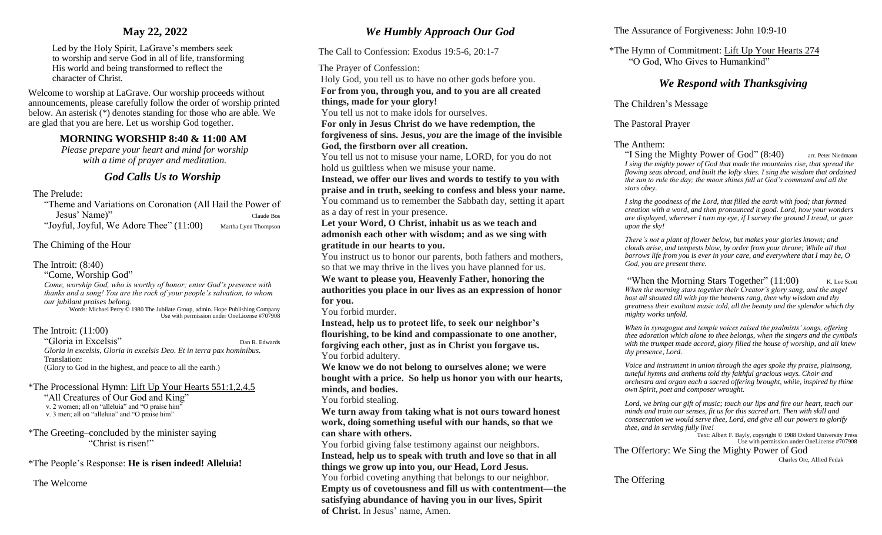# **May 22, 2022**

Led by the Holy Spirit, LaGrave's members seek to worship and serve God in all of life, transforming His world and being transformed to reflect the character of Christ.

Welcome to worship at LaGrave. Our worship proceeds without announcements, please carefully follow the order of worship printed below. An asterisk (\*) denotes standing for those who are able. We are glad that you are here. Let us worship God together.

# **MORNING WORSHIP 8:40 & 11:00 AM**

*Please prepare your heart and mind for worship with a time of prayer and meditation.*

# *God Calls Us to Worship*

### The Prelude:

"Theme and Variations on Coronation (All Hail the Power of Jesus' Name)" Claude Bos "Joyful, Joyful, We Adore Thee" (11:00) Martha Lynn Thompson

# The Chiming of the Hour

## The Introit: (8:40)

"Come, Worship God"

*Come, worship God, who is worthy of honor; enter God's presence with thanks and a song! You are the rock of your people's salvation, to whom our jubilant praises belong.* 

Words: Michael Perry © 1980 The Jubilate Group, admin. Hope Publishing Company Use with permission under OneLicense #707908

# The Introit: (11:00)

"Gloria in Excelsis" Dan R. Edwards *Gloria in excelsis, Gloria in excelsis Deo. Et in terra pax hominibus.*  Translation: (Glory to God in the highest, and peace to all the earth.)

\*The Processional Hymn: Lift Up Your Hearts 551:1,2,4,5

"All Creatures of Our God and King" v. 2 women; all on "alleluia" and "O praise him" v. 3 men; all on "alleluia" and "O praise him"

### \*The Greeting–concluded by the minister saying "Christ is risen!"

\*The People's Response: **He is risen indeed! Alleluia!**

The Welcome

# *We Humbly Approach Our God*

The Call to Confession: Exodus 19:5-6, 20:1-7

The Prayer of Confession:

Holy God, you tell us to have no other gods before you.  **For from you, through you, and to you are all created things, made for your glory!**

You tell us not to make idols for ourselves. **For only in Jesus Christ do we have redemption, the** 

**forgiveness of sins. Jesus,** *you* **are the image of the invisible** 

**God, the firstborn over all creation.**

You tell us not to misuse your name, LORD, for you do not hold us guiltless when we misuse your name.

**Instead, we offer our lives and words to testify to you with praise and in truth, seeking to confess and bless your name.**

You command us to remember the Sabbath day, setting it apart as a day of rest in your presence.

**Let your Word, O Christ, inhabit us as we teach and admonish each other with wisdom; and as we sing with gratitude in our hearts to you.**

You instruct us to honor our parents, both fathers and mothers, so that we may thrive in the lives you have planned for us. **We want to please you, Heavenly Father, honoring the authorities you place in our lives as an expression of honor for you.**

You forbid murder.

**Instead, help us to protect life, to seek our neighbor's flourishing, to be kind and compassionate to one another, forgiving each other, just as in Christ you forgave us.** You forbid adultery.

**We know we do not belong to ourselves alone; we were bought with a price. So help us honor you with our hearts, minds, and bodies.**

### You forbid stealing.

**We turn away from taking what is not ours toward honest work, doing something useful with our hands, so that we can share with others.**

You forbid giving false testimony against our neighbors. **Instead, help us to speak with truth and love so that in all things we grow up into you, our Head, Lord Jesus.** You forbid coveting anything that belongs to our neighbor.

**Empty us of covetousness and fill us with contentment—the satisfying abundance of having you in our lives, Spirit of Christ.** In Jesus' name, Amen.

## The Assurance of Forgiveness: John 10:9-10

\*The Hymn of Commitment: Lift Up Your Hearts 274 "O God, Who Gives to Humankind"

# *We Respond with Thanksgiving*

The Children's Message

The Pastoral Prayer

The Anthem:

"I Sing the Mighty Power of God" (8:40) arr. Peter Niedmann *I sing the mighty power of God that made the mountains rise, that spread the flowing seas abroad, and built the lofty skies. I sing the wisdom that ordained the sun to rule the day; the moon shines full at God's command and all the stars obey.* 

*I sing the goodness of the Lord, that filled the earth with food; that formed creation with a word, and then pronounced it good. Lord, how your wonders are displayed, wherever I turn my eye, if I survey the ground I tread, or gaze upon the sky!* 

*There's not a plant of flower below, but makes your glories known; and clouds arise, and tempests blow, by order from your throne; While all that borrows life from you is ever in your care, and everywhere that I may be, O God, you are present there.* 

"When the Morning Stars Together"  $(11:00)$  K. Lee Scott *When the morning stars together their Creator's glory sang, and the angel host all shouted till with joy the heavens rang, then why wisdom and thy greatness their exultant music told, all the beauty and the splendor which thy mighty works unfold.* 

*When in synagogue and temple voices raised the psalmists' songs, offering thee adoration which alone to thee belongs, when the singers and the cymbals with the trumpet made accord, glory filled the house of worship, and all knew thy presence, Lord.* 

*Voice and instrument in union through the ages spoke thy praise, plainsong, tuneful hymns and anthems told thy faithful gracious ways. Choir and orchestra and organ each a sacred offering brought, while, inspired by thine own Spirit, poet and composer wrought.* 

*Lord, we bring our gift of music; touch our lips and fire our heart, teach our minds and train our senses, fit us for this sacred art. Then with skill and consecration we would serve thee, Lord, and give all our powers to glorify thee, and in serving fully live!* 

Text: Albert F. Bayly, copyright © 1988 Oxford University Press Use with permission under OneLicense #707908

The Offertory: We Sing the Mighty Power of God

Charles Ore, Alfred Fedak

The Offering